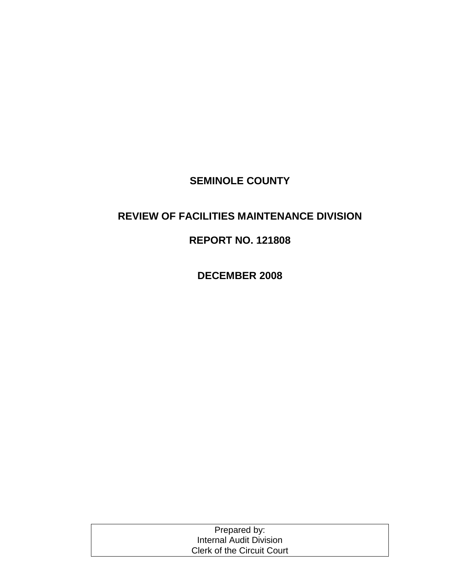## **SEMINOLE COUNTY**

### **REVIEW OF FACILITIES MAINTENANCE DIVISION**

### **REPORT NO. 121808**

**DECEMBER 2008**

| Prepared by:                      |
|-----------------------------------|
| <b>Internal Audit Division</b>    |
| <b>Clerk of the Circuit Court</b> |
|                                   |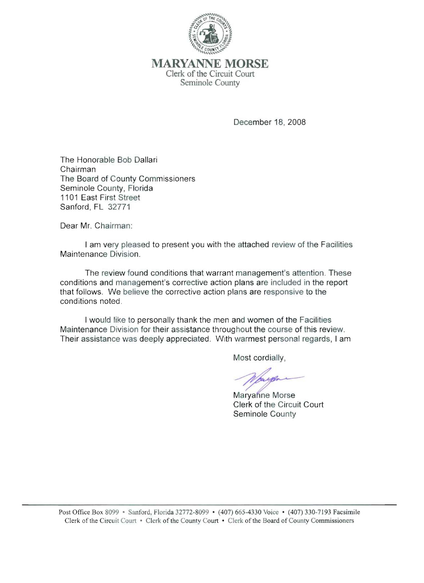

MARYANNE **MORSE**  Clerk of the Circuit Court Seminole County

December 18, 2008

The Honorable Bob Dallari Chairman The Board of County Commissioners Seminole County, Florida 1101 East First Street Sanford, FL 32771

Dear Mr. Chairman:

I am very pleased to present you with the attached review of the Facilities Maintenance Division.

The review found conditions that warrant management's attention. These conditions and management's corrective action plans are included in the report that follows. We believe the corrective action plans are responsive to the conditions noted.

I would like to personally thank the men and women of the Facilities Maintenance Division for their assistance throughout the course of this review. Their assistance was deeply appreciated. With warmest personal regards, I am

Most cordially,

upp

Maryanne Morse Clerk of the Circuit Court Seminole County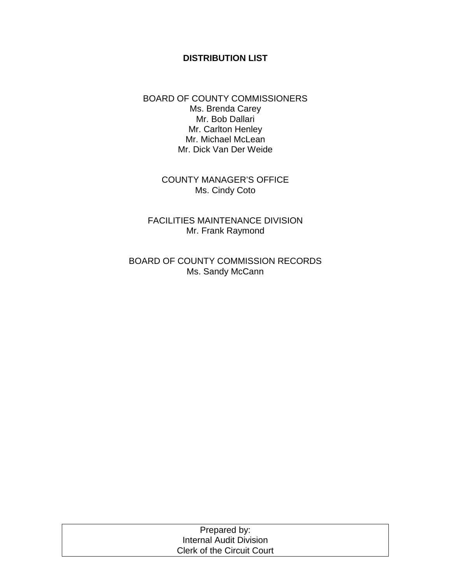#### **DISTRIBUTION LIST**

BOARD OF COUNTY COMMISSIONERS Ms. Brenda Carey Mr. Bob Dallari Mr. Carlton Henley Mr. Michael McLean Mr. Dick Van Der Weide

> COUNTY MANAGER'S OFFICE Ms. Cindy Coto

FACILITIES MAINTENANCE DIVISION Mr. Frank Raymond

BOARD OF COUNTY COMMISSION RECORDS Ms. Sandy McCann

| Prepared by:                      |  |
|-----------------------------------|--|
| Internal Audit Division           |  |
| <b>Clerk of the Circuit Court</b> |  |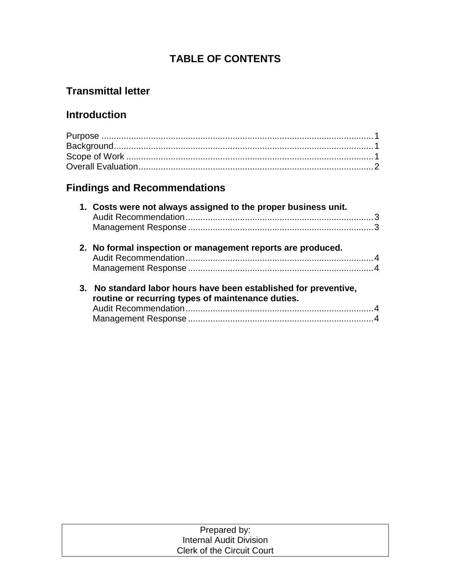### **TABLE OF CONTENTS**

## **Transmittal letter**

## **Introduction**

# **Findings and Recommendations**

|    | 1. Costs were not always assigned to the proper business unit.                                                     |  |
|----|--------------------------------------------------------------------------------------------------------------------|--|
|    |                                                                                                                    |  |
|    | 2. No formal inspection or management reports are produced.                                                        |  |
|    |                                                                                                                    |  |
| 3. | No standard labor hours have been established for preventive,<br>routine or recurring types of maintenance duties. |  |
|    |                                                                                                                    |  |
|    |                                                                                                                    |  |

| Prepared by:                      |  |
|-----------------------------------|--|
| Internal Audit Division           |  |
| <b>Clerk of the Circuit Court</b> |  |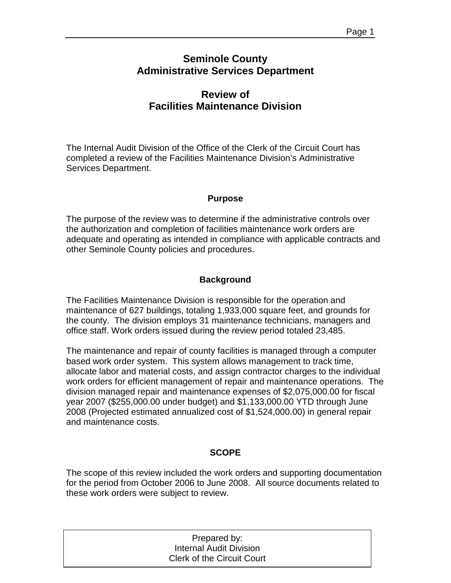### **Seminole County Administrative Services Department**

### **Review of Facilities Maintenance Division**

The Internal Audit Division of the Office of the Clerk of the Circuit Court has completed a review of the Facilities Maintenance Division's Administrative Services Department.

#### **Purpose**

The purpose of the review was to determine if the administrative controls over the authorization and completion of facilities maintenance work orders are adequate and operating as intended in compliance with applicable contracts and other Seminole County policies and procedures.

#### **Background**

The Facilities Maintenance Division is responsible for the operation and maintenance of 627 buildings, totaling 1,933,000 square feet, and grounds for the county. The division employs 31 maintenance technicians, managers and office staff. Work orders issued during the review period totaled 23,485.

The maintenance and repair of county facilities is managed through a computer based work order system. This system allows management to track time, allocate labor and material costs, and assign contractor charges to the individual work orders for efficient management of repair and maintenance operations. The division managed repair and maintenance expenses of \$2,075,000.00 for fiscal year 2007 (\$255,000.00 under budget) and \$1,133,000.00 YTD through June 2008 (Projected estimated annualized cost of \$1,524,000.00) in general repair and maintenance costs.

#### **SCOPE**

The scope of this review included the work orders and supporting documentation for the period from October 2006 to June 2008. All source documents related to these work orders were subject to review.

| Prepared by:                      |  |
|-----------------------------------|--|
| Internal Audit Division           |  |
| <b>Clerk of the Circuit Court</b> |  |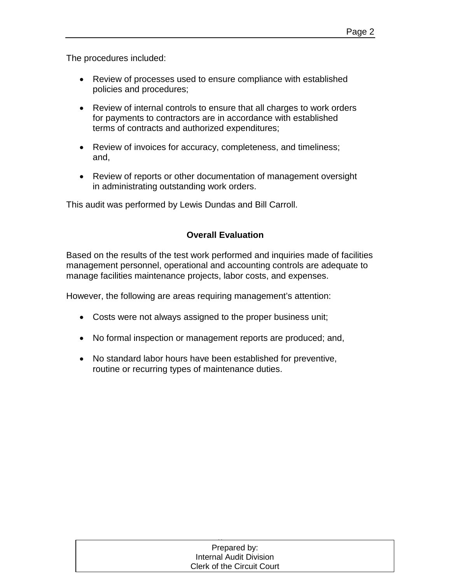The procedures included:

- Review of processes used to ensure compliance with established policies and procedures;
- Review of internal controls to ensure that all charges to work orders for payments to contractors are in accordance with established terms of contracts and authorized expenditures;
- Review of invoices for accuracy, completeness, and timeliness; and,
- Review of reports or other documentation of management oversight in administrating outstanding work orders.

This audit was performed by Lewis Dundas and Bill Carroll.

#### **Overall Evaluation**

Based on the results of the test work performed and inquiries made of facilities management personnel, operational and accounting controls are adequate to manage facilities maintenance projects, labor costs, and expenses.

However, the following are areas requiring management's attention:

- Costs were not always assigned to the proper business unit;
- No formal inspection or management reports are produced; and,
- No standard labor hours have been established for preventive, routine or recurring types of maintenance duties.

| Prepared by:                      |  |
|-----------------------------------|--|
| Internal Audit Division           |  |
| <b>Clerk of the Circuit Court</b> |  |
|                                   |  |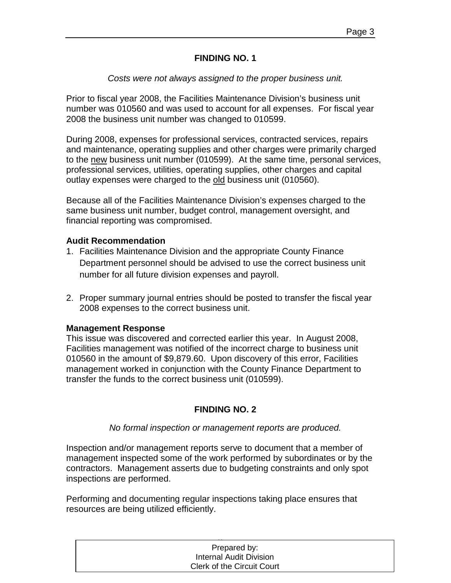#### **FINDING NO. 1**

#### *Costs were not always assigned to the proper business unit.*

Prior to fiscal year 2008, the Facilities Maintenance Division's business unit number was 010560 and was used to account for all expenses. For fiscal year 2008 the business unit number was changed to 010599.

During 2008, expenses for professional services, contracted services, repairs and maintenance, operating supplies and other charges were primarily charged to the new business unit number (010599). At the same time, personal services, professional services, utilities, operating supplies, other charges and capital outlay expenses were charged to the old business unit (010560).

Because all of the Facilities Maintenance Division's expenses charged to the same business unit number, budget control, management oversight, and financial reporting was compromised.

#### **Audit Recommendation**

- 1. Facilities Maintenance Division and the appropriate County Finance Department personnel should be advised to use the correct business unit number for all future division expenses and payroll.
- 2. Proper summary journal entries should be posted to transfer the fiscal year 2008 expenses to the correct business unit.

#### **Management Response**

This issue was discovered and corrected earlier this year. In August 2008, Facilities management was notified of the incorrect charge to business unit 010560 in the amount of \$9,879.60. Upon discovery of this error, Facilities management worked in conjunction with the County Finance Department to transfer the funds to the correct business unit (010599).

#### **FINDING NO. 2**

#### *No formal inspection or management reports are produced.*

Inspection and/or management reports serve to document that a member of management inspected some of the work performed by subordinates or by the contractors. Management asserts due to budgeting constraints and only spot inspections are performed.

Performing and documenting regular inspections taking place ensures that resources are being utilized efficiently.

| Prepared by:               |  |
|----------------------------|--|
| Internal Audit Division    |  |
| Clerk of the Circuit Court |  |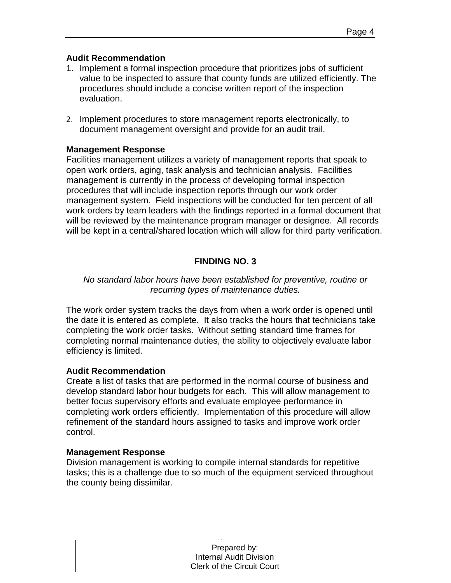#### **Audit Recommendation**

- 1. Implement a formal inspection procedure that prioritizes jobs of sufficient value to be inspected to assure that county funds are utilized efficiently. The procedures should include a concise written report of the inspection evaluation.
- 2. Implement procedures to store management reports electronically, to document management oversight and provide for an audit trail.

#### **Management Response**

Facilities management utilizes a variety of management reports that speak to open work orders, aging, task analysis and technician analysis. Facilities management is currently in the process of developing formal inspection procedures that will include inspection reports through our work order management system. Field inspections will be conducted for ten percent of all work orders by team leaders with the findings reported in a formal document that will be reviewed by the maintenance program manager or designee. All records will be kept in a central/shared location which will allow for third party verification.

#### **FINDING NO. 3**

#### *No standard labor hours have been established for preventive, routine or recurring types of maintenance duties.*

The work order system tracks the days from when a work order is opened until the date it is entered as complete. It also tracks the hours that technicians take completing the work order tasks. Without setting standard time frames for completing normal maintenance duties, the ability to objectively evaluate labor efficiency is limited.

#### **Audit Recommendation**

Create a list of tasks that are performed in the normal course of business and develop standard labor hour budgets for each. This will allow management to better focus supervisory efforts and evaluate employee performance in completing work orders efficiently. Implementation of this procedure will allow refinement of the standard hours assigned to tasks and improve work order control.

#### **Management Response**

Division management is working to compile internal standards for repetitive tasks; this is a challenge due to so much of the equipment serviced throughout the county being dissimilar.

| Prepared by:               |  |
|----------------------------|--|
| Internal Audit Division    |  |
| Clerk of the Circuit Court |  |